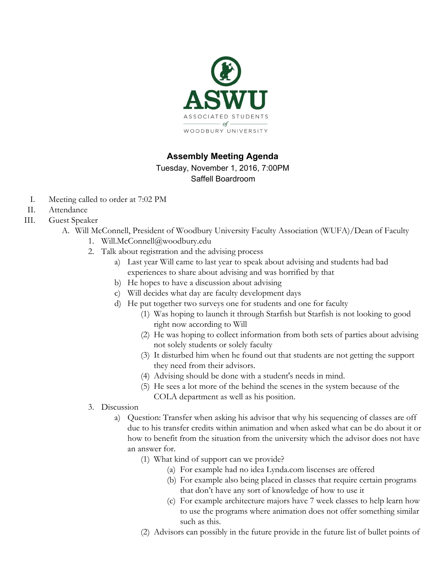

# **Assembly Meeting Agenda**

Tuesday, November 1, 2016, 7:00PM Saffell Boardroom

- I. Meeting called to order at 7:02 PM
- II. Attendance
- III. Guest Speaker
	- A. Will McConnell, President of Woodbury University Faculty Association (WUFA)/Dean of Faculty
		- 1. [Will.McConnell@woodbury.edu](http://20721697p.rfihub.com/ca.gif?rb=24429&ca=20721697&_o=24429&_t=20721697&rd=mailto:Will.McConnell@woodbury.edu)
		- 2. Talk about registration and the advising process
			- a) Last year Will came to last year to speak about advising and students had bad experiences to share about advising and was horrified by that
			- b) He hopes to have a discussion about advising
			- c) Will decides what day are faculty development days
			- d) He put together two surveys one for students and one for faculty
				- (1) Was hoping to launch it through Starfish but Starfish is not looking to good right now according to Will
				- (2) He was hoping to collect information from both sets of parties about advising not solely students or solely faculty
				- (3) It disturbed him when he found out that students are not getting the support they need from their advisors.
				- (4) Advising should be done with a student's needs in mind.
				- (5) He sees a lot more of the behind the scenes in the system because of the COLA department as well as his position.
		- 3. Discussion
			- a) Question: Transfer when asking his advisor that why his sequencing of classes are off due to his transfer credits within animation and when asked what can be do about it or how to benefit from the situation from the university which the advisor does not have an answer for.
				- (1) What kind of support can we provide?
					- (a) For example had no idea Lynda.com liscenses are offered
					- (b) For example also being placed in classes that require certain programs that don't have any sort of knowledge of how to use it
					- (c) For example architecture majors have 7 week classes to help learn how to use the programs where animation does not offer something similar such as this.
				- (2) Advisors can possibly in the future provide in the future list of bullet points of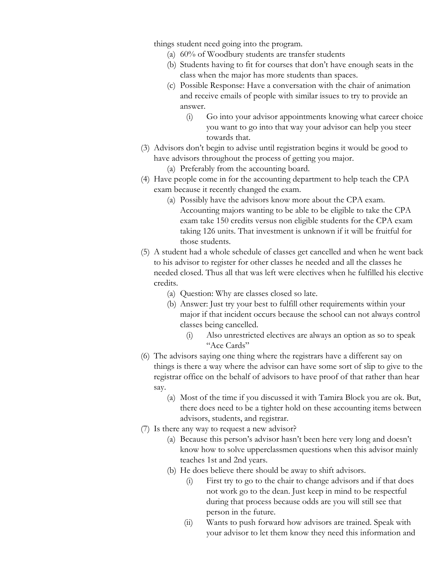things student need going into the program.

- (a) 60% of Woodbury students are transfer students
- (b) Students having to fit for courses that don't have enough seats in the class when the major has more students than spaces.
- (c) Possible Response: Have a conversation with the chair of animation and receive emails of people with similar issues to try to provide an answer.
	- (i) Go into your advisor appointments knowing what career choice you want to go into that way your advisor can help you steer towards that.
- (3) Advisors don't begin to advise until registration begins it would be good to have advisors throughout the process of getting you major.
	- (a) Preferably from the accounting board.
- (4) Have people come in for the accounting department to help teach the CPA exam because it recently changed the exam.
	- (a) Possibly have the advisors know more about the CPA exam. Accounting majors wanting to be able to be eligible to take the CPA exam take 150 credits versus non eligible students for the CPA exam taking 126 units. That investment is unknown if it will be fruitful for those students.
- (5) A student had a whole schedule of classes get cancelled and when he went back to his advisor to register for other classes he needed and all the classes he needed closed. Thus all that was left were electives when he fulfilled his elective credits.
	- (a) Question: Why are classes closed so late.
	- (b) Answer: Just try your best to fulfill other requirements within your major if that incident occurs because the school can not always control classes being cancelled.
		- (i) Also unrestricted electives are always an option as so to speak "Ace Cards"
- (6) The advisors saying one thing where the registrars have a different say on things is there a way where the advisor can have some sort of slip to give to the registrar office on the behalf of advisors to have proof of that rather than hear say.
	- (a) Most of the time if you discussed it with Tamira Block you are ok. But, there does need to be a tighter hold on these accounting items between advisors, students, and registrar.
- (7) Is there any way to request a new advisor?
	- (a) Because this person's advisor hasn't been here very long and doesn't know how to solve upperclassmen questions when this advisor mainly teaches 1st and 2nd years.
	- (b) He does believe there should be away to shift advisors.
		- (i) First try to go to the chair to change advisors and if that does not work go to the dean. Just keep in mind to be respectful during that process because odds are you will still see that person in the future.
		- (ii) Wants to push forward how advisors are trained. Speak with your advisor to let them know they need this information and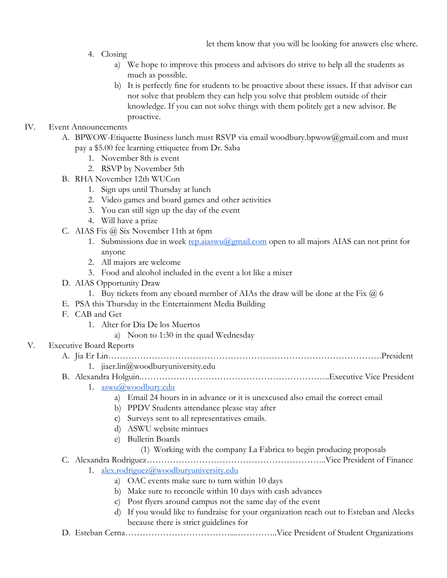- 4. Closing
	- a) We hope to improve this process and advisors do strive to help all the students as much as possible.
	- b) It is perfectly fine for students to be proactive about these issues. If that advisor can not solve that problem they can help you solve that problem outside of their knowledge. If you can not solve things with them politely get a new advisor. Be proactive.

## IV. Event Announcements

- A. BPWOW-Etiquette Business lunch must RSVP via email woodbury.bpwow@gmail.com and must pay a \$5.00 fee learning ettiquetee from Dr. Saba
	- 1. November 8th is event
	- 2. RSVP by November 5th
- B. RHA November 12th WUCon
	- 1. Sign ups until Thursday at lunch
	- 2. Video games and board games and other activities
	- 3. You can still sign up the day of the event
	- 4. Will have a prize
- C. AIAS Fix @ Six November 11th at 6pm
	- 1. Submissions due in week [rep.aiaswu@gmail.com](mailto:rep.aiaswu@gmail.com) open to all majors AIAS can not print for anyone
	- 2. All majors are welcome
	- 3. Food and alcohol included in the event a lot like a mixer
- D. AIAS Opportunity Draw
	- 1. Buy tickets from any eboard member of AIAs the draw will be done at the Fix  $(a)$  6
- E. PSA this Thursday in the Entertainment Media Building
- F. CAB and Get
	- 1. Alter for Dia De los Muertos
		- a) Noon to 1:30 in the quad Wednesday

## V. Executive Board Reports

- A. Jia Er Lin………………………………………………………………………………….President
	- 1. jiaer.lin@woodburyuniversity.edu
- B. Alexandra Holguin.………………………………………………………..Executive Vice President
	- 1. [aswu@woodbury.edu](mailto:aswu@woodbury.edu)
		- a) Email 24 hours in in advance or it is unexcused also email the correct email
		- b) PPDV Students attendance please stay after
		- c) Surveys sent to all representatives emails.
		- d) ASWU website mintues
		- e) Bulletin Boards
			- (1) Working with the company La Fabrica to begin producing proposals
- C. Alexandra Rodriguez……………………………………………………..Vice President of Finance
	- 1. [alex.rodriguez@woodburyuniversity.edu](mailto:alex.rodriguez@woodburyuniversity.edu)
		- a) OAC events make sure to turn within 10 days
		- b) Make sure to reconcile within 10 days with cash advances
		- c) Post flyers around campus not the same day of the event
		- d) If you would like to fundraise for your organization reach out to Esteban and Alecks because there is strict guidelines for
- D. Esteban Cerna………………………………....…………..Vice President of Student Organizations